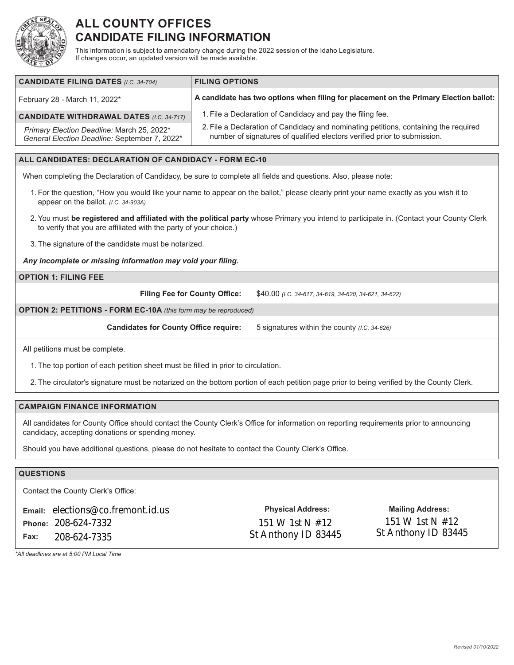

# **ALL COUNTY OFFICES CANDIDATE FILING INFORMATION**

This information is subject to amendatory change during the 2022 session of the Idaho Legislature. If changes occur, an updated version will be made available.

| <b>CANDIDATE FILING DATES (I.C. 34-704)</b>                                                 | <b>FILING OPTIONS</b>                                                                                                                                            |
|---------------------------------------------------------------------------------------------|------------------------------------------------------------------------------------------------------------------------------------------------------------------|
| February 28 - March 11, 2022*                                                               | A candidate has two options when filing for placement on the Primary Election ballot:                                                                            |
| <b>CANDIDATE WITHDRAWAL DATES (I.C. 34-717)</b>                                             | 1. File a Declaration of Candidacy and pay the filing fee.                                                                                                       |
| Primary Election Deadline: March 25, 2022*<br>General Election Deadline: September 7, 2022* | 2. File a Declaration of Candidacy and nominating petitions, containing the required<br>number of signatures of qualified electors verified prior to submission. |

# **ALL CANDIDATES: DECLARATION OF CANDIDACY - FORM EC-10**

When completing the Declaration of Candidacy, be sure to complete all fields and questions. Also, please note:

- 1. For the question, "How you would like your name to appear on the ballot," please clearly print your name exactly as you wish it to appear on the ballot. *(I.C. 34-903A)*
- 2.You must **be registered and affiliated with the political party** whose Primary you intend to participate in. (Contact your County Clerk to verify that you are affiliated with the party of your choice.)
- 3. The signature of the candidate must be notarized.

#### *Any incomplete or missing information may void your filing.*

# **OPTION 1: FILING FEE**

**Filing Fee for County Office:** \$40.00 *(I.C. 34-617, 34-619, 34-620, 34-621, 34-622)*

### **OPTION 2: PETITIONS - FORM EC-10A** *(this form may be reproduced)*

**Candidates for County Office require:** 5 signatures within the county *(I.C. 34-626)*

All petitions must be complete.

1. The top portion of each petition sheet must be filled in prior to circulation.

2. The circulator's signature must be notarized on the bottom portion of each petition page prior to being verified by the County Clerk.

### **CAMPAIGN FINANCE INFORMATION**

All candidates for County Office should contact the County Clerk's Office for information on reporting requirements prior to announcing candidacy, accepting donations or spending money.

Should you have additional questions, please do not hesitate to contact the County Clerk's Office.

# **QUESTIONS**

Contact the County Clerk's Office:

| <b>Email:</b> elections@co.fremont.id.us |
|------------------------------------------|
| Phone: 208-624-7332                      |
| <b>Fax:</b> 208-624-7335                 |

**Physical Address: Mailing Address:** 151 W 1st N #12 St Anthony ID 83445 St Anthony ID 83445

151 W 1st N #12

*\*All deadlines are at 5:00 PM Local Time*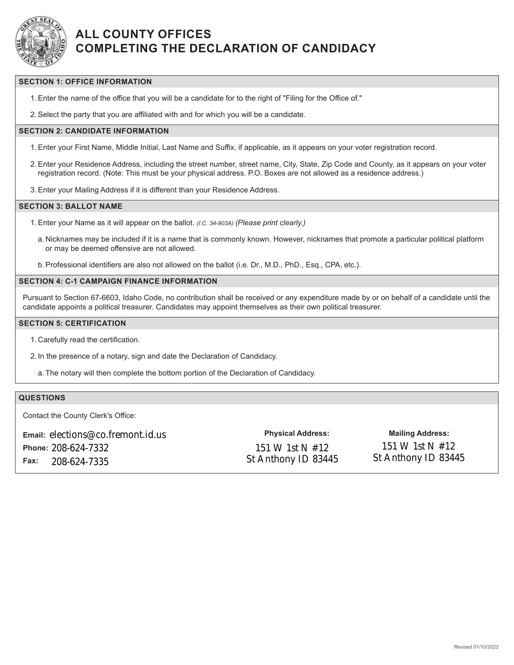

# **ALL COUNTY OFFICES COMPLETING THE DECLARATION OF CANDIDACY**

### **SECTION 1: OFFICE INFORMATION**

1.Enter the name of the office that you will be a candidate for to the right of "Filing for the Office of."

2.Select the party that you are affiliated with and for which you will be a candidate.

#### **SECTION 2: CANDIDATE INFORMATION**

- 1.Enter your First Name, Middle Initial, Last Name and Suffix, if applicable, as it appears on your voter registration record.
- 2.Enter your Residence Address, including the street number, street name, City, State, Zip Code and County, as it appears on your voter registration record. (Note: This must be your physical address. P.O. Boxes are not allowed as a residence address.)
- 3.Enter your Mailing Address if it is different than your Residence Address.

#### **SECTION 3: BALLOT NAME**

- 1.Enter your Name as it will appear on the ballot. *(I.C. 34-903A) (Please print clearly.)*
	- a. Nicknames may be included if it is a name that is commonly known. However, nicknames that promote a particular political platform or may be deemed offensive are not allowed.
	- b.Professional identifiers are also not allowed on the ballot (i.e. Dr., M.D., PhD., Esq., CPA, etc.).

## **SECTION 4: C-1 CAMPAIGN FINANCE INFORMATION**

Pursuant to Section 67-6603, Idaho Code, no contribution shall be received or any expenditure made by or on behalf of a candidate until the candidate appoints a political treasurer. Candidates may appoint themselves as their own political treasurer.

## **SECTION 5: CERTIFICATION**

- 1. Carefully read the certification.
- 2. In the presence of a notary, sign and date the Declaration of Candidacy.
	- a. The notary will then complete the bottom portion of the Declaration of Candidacy.

# **QUESTIONS**

Contact the County Clerk's Office:

|      | <b>Email:</b> elections@co.fremont.id.us | <b>Physical Address:</b> | <b>Mailing Address:</b> |
|------|------------------------------------------|--------------------------|-------------------------|
|      | Phone: 208-624-7332                      | 151 W 1st N $#12$        | 151 W 1st N $#12$       |
| Fax: | 208-624-7335                             | St Anthony ID 83445      | St Anthony ID 83445     |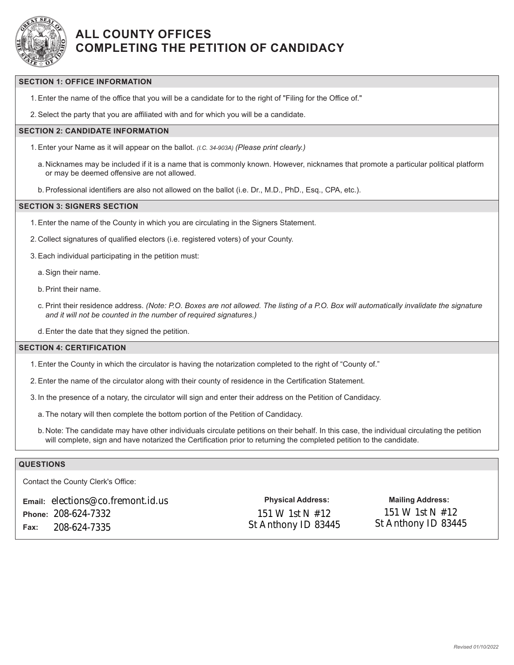

# **ALL COUNTY OFFICES COMPLETING THE PETITION OF CANDIDACY**

## **SECTION 1: OFFICE INFORMATION**

1.Enter the name of the office that you will be a candidate for to the right of "Filing for the Office of."

2.Select the party that you are affiliated with and for which you will be a candidate.

# **SECTION 2: CANDIDATE INFORMATION**

- 1.Enter your Name as it will appear on the ballot. *(I.C. 34-903A) (Please print clearly.)*
	- a. Nicknames may be included if it is a name that is commonly known. However, nicknames that promote a particular political platform or may be deemed offensive are not allowed.
	- b.Professional identifiers are also not allowed on the ballot (i.e. Dr., M.D., PhD., Esq., CPA, etc.).

#### **SECTION 3: SIGNERS SECTION**

- 1.Enter the name of the County in which you are circulating in the Signers Statement.
- 2. Collect signatures of qualified electors (i.e. registered voters) of your County.
- 3.Each individual participating in the petition must:

a.Sign their name.

- b.Print their name.
- c. Print their residence address. *(Note: P.O. Boxes are not allowed. The listing of a P.O. Box will automatically invalidate the signature and it will not be counted in the number of required signatures.)*
- d.Enter the date that they signed the petition.

#### **SECTION 4: CERTIFICATION**

- 1.Enter the County in which the circulator is having the notarization completed to the right of "County of."
- 2.Enter the name of the circulator along with their county of residence in the Certification Statement.
- 3. In the presence of a notary, the circulator will sign and enter their address on the Petition of Candidacy.
	- a. The notary will then complete the bottom portion of the Petition of Candidacy.
	- b. Note: The candidate may have other individuals circulate petitions on their behalf. In this case, the individual circulating the petition will complete, sign and have notarized the Certification prior to returning the completed petition to the candidate.

### **QUESTIONS**

Contact the County Clerk's Office:

**Email:** elections@co.fremont.id.us **Physical Address: Mailing Address: Phone:** 208-624-7332 **Fax:** 208-624-7335

151 W 1st N #12 St Anthony ID 83445

151 W 1st N #12 St Anthony ID 83445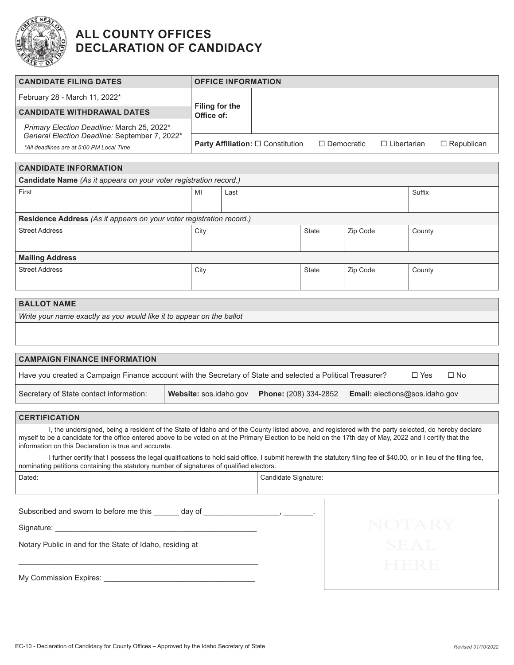

# **ALL COUNTY OFFICES DECLARATION OF CANDIDACY**

| <b>CANDIDATE FILING DATES</b>                                                                                                                                                                                                                                                                                                                                                |                        | <b>OFFICE INFORMATION</b>                |                              |                   |                                |                            |
|------------------------------------------------------------------------------------------------------------------------------------------------------------------------------------------------------------------------------------------------------------------------------------------------------------------------------------------------------------------------------|------------------------|------------------------------------------|------------------------------|-------------------|--------------------------------|----------------------------|
| February 28 - March 11, 2022*                                                                                                                                                                                                                                                                                                                                                |                        |                                          |                              |                   |                                |                            |
| <b>CANDIDATE WITHDRAWAL DATES</b>                                                                                                                                                                                                                                                                                                                                            |                        | <b>Filing for the</b><br>Office of:      |                              |                   |                                |                            |
| Primary Election Deadline: March 25, 2022*<br>General Election Deadline: September 7, 2022*                                                                                                                                                                                                                                                                                  |                        |                                          |                              |                   |                                |                            |
| *All deadlines are at 5:00 PM Local Time                                                                                                                                                                                                                                                                                                                                     |                        | <b>Party Affiliation:</b> □ Constitution |                              | $\Box$ Democratic | $\Box$ Libertarian             | $\Box$ Republican          |
| <b>CANDIDATE INFORMATION</b>                                                                                                                                                                                                                                                                                                                                                 |                        |                                          |                              |                   |                                |                            |
| Candidate Name (As it appears on your voter registration record.)                                                                                                                                                                                                                                                                                                            |                        |                                          |                              |                   |                                |                            |
| First                                                                                                                                                                                                                                                                                                                                                                        | MI                     | Last                                     |                              |                   |                                | Suffix                     |
|                                                                                                                                                                                                                                                                                                                                                                              |                        |                                          |                              |                   |                                |                            |
| Residence Address (As it appears on your voter registration record.)                                                                                                                                                                                                                                                                                                         |                        |                                          |                              |                   |                                |                            |
| <b>Street Address</b>                                                                                                                                                                                                                                                                                                                                                        | City                   |                                          |                              | <b>State</b>      | Zip Code                       | County                     |
| <b>Mailing Address</b>                                                                                                                                                                                                                                                                                                                                                       |                        |                                          |                              |                   |                                |                            |
| <b>Street Address</b>                                                                                                                                                                                                                                                                                                                                                        | City                   |                                          |                              | State             | Zip Code                       | County                     |
| <b>BALLOT NAME</b>                                                                                                                                                                                                                                                                                                                                                           |                        |                                          |                              |                   |                                |                            |
| Write your name exactly as you would like it to appear on the ballot                                                                                                                                                                                                                                                                                                         |                        |                                          |                              |                   |                                |                            |
|                                                                                                                                                                                                                                                                                                                                                                              |                        |                                          |                              |                   |                                |                            |
| <b>CAMPAIGN FINANCE INFORMATION</b>                                                                                                                                                                                                                                                                                                                                          |                        |                                          |                              |                   |                                |                            |
| Have you created a Campaign Finance account with the Secretary of State and selected a Political Treasurer?                                                                                                                                                                                                                                                                  |                        |                                          |                              |                   |                                | $\square$ No<br>$\Box$ Yes |
| Secretary of State contact information:                                                                                                                                                                                                                                                                                                                                      | Website: sos.idaho.gov |                                          | <b>Phone:</b> (208) 334-2852 |                   | Email: elections@sos.idaho.gov |                            |
| <b>CERTIFICATION</b>                                                                                                                                                                                                                                                                                                                                                         |                        |                                          |                              |                   |                                |                            |
| I, the undersigned, being a resident of the State of Idaho and of the County listed above, and registered with the party selected, do hereby declare<br>myself to be a candidate for the office entered above to be voted on at the Primary Election to be held on the 17th day of May, 2022 and I certify that the<br>information on this Declaration is true and accurate. |                        |                                          |                              |                   |                                |                            |
| I further certify that I possess the legal qualifications to hold said office. I submit herewith the statutory filing fee of \$40.00, or in lieu of the filing fee,<br>nominating petitions containing the statutory number of signatures of qualified electors.                                                                                                             |                        |                                          |                              |                   |                                |                            |
| Dated:                                                                                                                                                                                                                                                                                                                                                                       |                        |                                          | Candidate Signature:         |                   |                                |                            |
|                                                                                                                                                                                                                                                                                                                                                                              |                        |                                          |                              |                   |                                |                            |
| Subscribed and sworn to before me this ______ day of ___________________________.                                                                                                                                                                                                                                                                                            |                        |                                          |                              |                   |                                |                            |
|                                                                                                                                                                                                                                                                                                                                                                              |                        |                                          |                              |                   |                                | NOTARY                     |
| Notary Public in and for the State of Idaho, residing at                                                                                                                                                                                                                                                                                                                     |                        |                                          |                              |                   |                                | SEAL                       |
|                                                                                                                                                                                                                                                                                                                                                                              |                        |                                          |                              |                   |                                | HIERE                      |
|                                                                                                                                                                                                                                                                                                                                                                              |                        |                                          |                              |                   |                                |                            |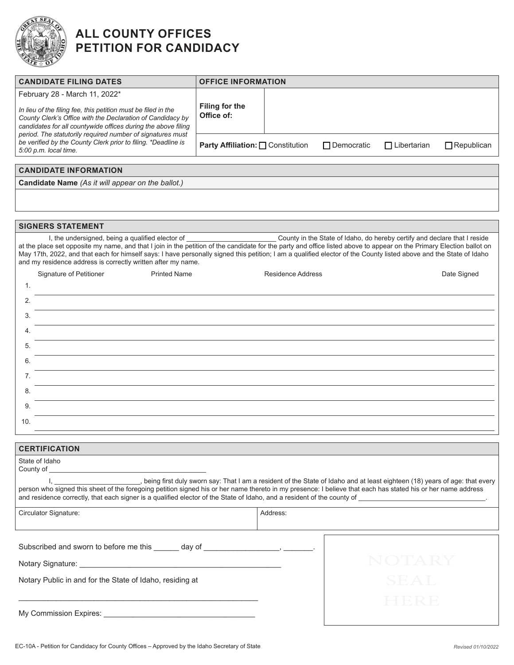

# **ALL COUNTY OFFICES PETITION FOR CANDIDACY**

| <b>CANDIDATE FILING DATES</b>                                                                                                                                                                                                                                                                                                                        |                                 | <b>OFFICE INFORMATION</b> |                   |                    |                   |  |
|------------------------------------------------------------------------------------------------------------------------------------------------------------------------------------------------------------------------------------------------------------------------------------------------------------------------------------------------------|---------------------------------|---------------------------|-------------------|--------------------|-------------------|--|
| February 28 - March 11, 2022*                                                                                                                                                                                                                                                                                                                        |                                 |                           |                   |                    |                   |  |
| In lieu of the filing fee, this petition must be filed in the<br>County Clerk's Office with the Declaration of Candidacy by<br>candidates for all countywide offices during the above filing<br>period. The statutorily required number of signatures must<br>be verified by the County Clerk prior to filing. *Deadline is<br>5:00 p.m. local time. | Filing for the<br>Office of:    |                           |                   |                    |                   |  |
|                                                                                                                                                                                                                                                                                                                                                      | Party Affiliation: Constitution |                           | $\Box$ Democratic | $\Box$ Libertarian | $\Box$ Republican |  |
|                                                                                                                                                                                                                                                                                                                                                      |                                 |                           |                   |                    |                   |  |
| <b>CANDIDATE INFORMATION</b>                                                                                                                                                                                                                                                                                                                         |                                 |                           |                   |                    |                   |  |
| <b>Candidate Name</b> (As it will appear on the ballot.)                                                                                                                                                                                                                                                                                             |                                 |                           |                   |                    |                   |  |

**SIGNERS STATEMENT**

I, the undersigned, being a qualified elector of \_\_\_\_\_\_\_\_\_\_\_\_\_\_\_\_\_\_\_\_\_\_\_\_ County in the State of Idaho, do hereby certify and declare that I reside at the place set opposite my name, and that I join in the petition of the candidate for the party and office listed above to appear on the Primary Election ballot on May 17th, 2022, and that each for himself says: I have personally signed this petition; I am a qualified elector of the County listed above and the State of Idaho and my residence address is correctly written after my name.

|     | Signature of Petitioner | <b>Printed Name</b> | Residence Address | Date Signed |
|-----|-------------------------|---------------------|-------------------|-------------|
| 1.  |                         |                     |                   |             |
| 2.  |                         |                     |                   |             |
| 3.  |                         |                     |                   |             |
| 4.  |                         |                     |                   |             |
| 5.  |                         |                     |                   |             |
| 6.  |                         |                     |                   |             |
| 7.  |                         |                     |                   |             |
| 8.  |                         |                     |                   |             |
| 9.  |                         |                     |                   |             |
| 10. |                         |                     |                   |             |

# **CERTIFICATION**

| State of Idaho<br>County of <b>Exercise Security</b> of <b>Exercise</b>                                                                                                                                                                                                                                                           | being first duly sworn say: That I am a resident of the State of Idaho and at least eighteen (18) years of age: that every والمستحدث العدال والمعالجة , being first duly sworn say: That I am a resident of the State of Idaho<br>person who signed this sheet of the foregoing petition signed his or her name thereto in my presence: I believe that each has stated his or her name address<br>and residence correctly, that each signer is a qualified elector of the State of Idaho, and a resident of the county of |
|-----------------------------------------------------------------------------------------------------------------------------------------------------------------------------------------------------------------------------------------------------------------------------------------------------------------------------------|---------------------------------------------------------------------------------------------------------------------------------------------------------------------------------------------------------------------------------------------------------------------------------------------------------------------------------------------------------------------------------------------------------------------------------------------------------------------------------------------------------------------------|
| Circulator Signature:                                                                                                                                                                                                                                                                                                             | Address:                                                                                                                                                                                                                                                                                                                                                                                                                                                                                                                  |
| Subscribed and sworn to before me this day of the control of the state of the state of the state of the state of the state of the state of the state of the state of the state of the state of the state of the state of the s<br>Notary Signature: Notary Signature:<br>Notary Public in and for the State of Idaho, residing at | NOTARY<br><b>SEAL</b>                                                                                                                                                                                                                                                                                                                                                                                                                                                                                                     |
| My Commission Expires: North Commission of the Second Second Second Second Second Second Second Second Second S                                                                                                                                                                                                                   |                                                                                                                                                                                                                                                                                                                                                                                                                                                                                                                           |